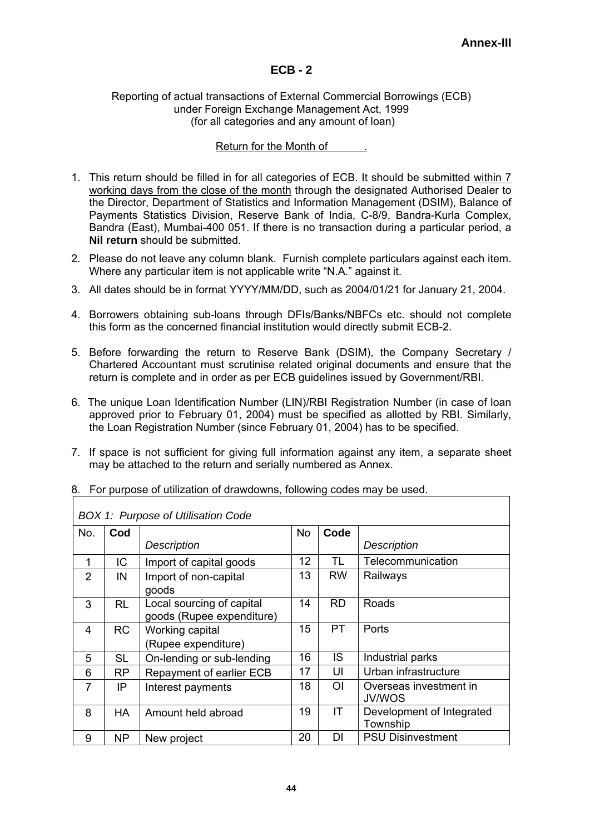# **ECB - 2**

#### Reporting of actual transactions of External Commercial Borrowings (ECB) under Foreign Exchange Management Act, 1999 (for all categories and any amount of loan)

## Return for the Month of  $\qquad \qquad$ .

- 1. This return should be filled in for all categories of ECB. It should be submitted within 7 working days from the close of the month through the designated Authorised Dealer to the Director, Department of Statistics and Information Management (DSIM), Balance of Payments Statistics Division, Reserve Bank of India, C-8/9, Bandra-Kurla Complex, Bandra (East), Mumbai-400 051. If there is no transaction during a particular period, a **Nil return** should be submitted.
- 2. Please do not leave any column blank. Furnish complete particulars against each item. Where any particular item is not applicable write "N.A." against it.
- 3. All dates should be in format YYYY/MM/DD, such as 2004/01/21 for January 21, 2004.
- 4. Borrowers obtaining sub-loans through DFIs/Banks/NBFCs etc. should not complete this form as the concerned financial institution would directly submit ECB-2.
- 5. Before forwarding the return to Reserve Bank (DSIM), the Company Secretary / Chartered Accountant must scrutinise related original documents and ensure that the return is complete and in order as per ECB guidelines issued by Government/RBI.
- 6. The unique Loan Identification Number (LIN)/RBI Registration Number (in case of loan approved prior to February 01, 2004) must be specified as allotted by RBI. Similarly, the Loan Registration Number (since February 01, 2004) has to be specified.
- 7. If space is not sufficient for giving full information against any item, a separate sheet may be attached to the return and serially numbered as Annex.

|                | BOX 1: Purpose of Utilisation Code |                           |           |                |                           |  |  |  |  |
|----------------|------------------------------------|---------------------------|-----------|----------------|---------------------------|--|--|--|--|
| No.            | Cod                                |                           | <b>No</b> | Code           |                           |  |  |  |  |
|                |                                    | <b>Description</b>        |           |                | <b>Description</b>        |  |  |  |  |
| 1              | IC                                 | Import of capital goods   | 12        | TL             | Telecommunication         |  |  |  |  |
| 2              | IN                                 | Import of non-capital     | 13        | <b>RW</b>      | Railways                  |  |  |  |  |
|                |                                    | goods                     |           |                |                           |  |  |  |  |
| 3              | <b>RL</b>                          | Local sourcing of capital | 14        | <b>RD</b>      | Roads                     |  |  |  |  |
|                |                                    | goods (Rupee expenditure) |           |                |                           |  |  |  |  |
| 4              | <b>RC</b>                          | Working capital           | 15        | PT.            | Ports                     |  |  |  |  |
|                |                                    | (Rupee expenditure)       |           |                |                           |  |  |  |  |
| 5              | <b>SL</b>                          | On-lending or sub-lending | 16        | IS.            | Industrial parks          |  |  |  |  |
| 6              | <b>RP</b>                          | Repayment of earlier ECB  | 17        | UI             | Urban infrastructure      |  |  |  |  |
| $\overline{7}$ | IP                                 | Interest payments         | 18        | $\overline{O}$ | Overseas investment in    |  |  |  |  |
|                |                                    |                           |           |                | JV/WOS                    |  |  |  |  |
| 8              | <b>HA</b>                          | Amount held abroad        | 19        | IT             | Development of Integrated |  |  |  |  |
|                |                                    |                           |           |                | Township                  |  |  |  |  |
| 9              | <b>NP</b>                          | New project               | 20        | DI             | <b>PSU Disinvestment</b>  |  |  |  |  |

8. For purpose of utilization of drawdowns, following codes may be used.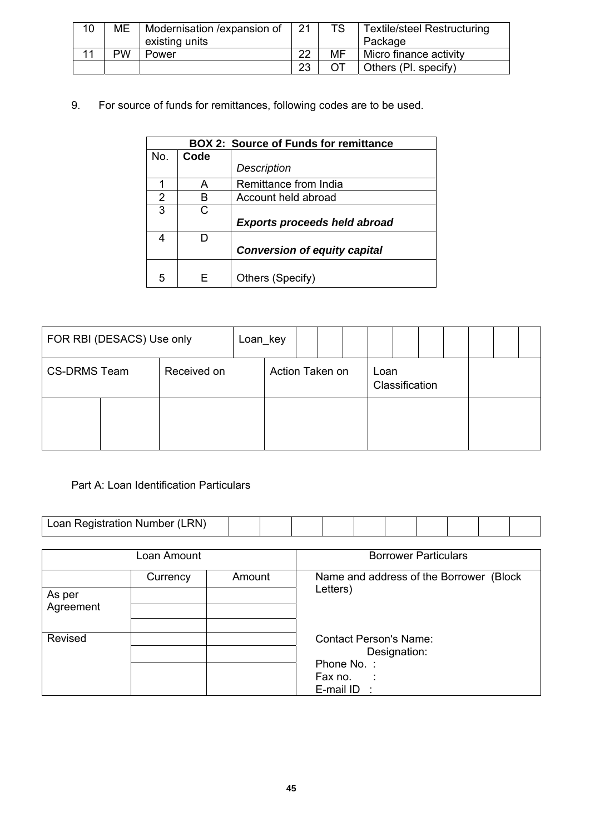| 10 | ME        | Modernisation / expansion of | 21 | <b>TS</b> | <b>Textile/steel Restructuring</b> |
|----|-----------|------------------------------|----|-----------|------------------------------------|
|    |           | existing units               |    |           | Package                            |
|    | <b>PW</b> | Power                        | 22 | MF        | Micro finance activity             |
|    |           |                              | 23 |           | Others (PI. specify)               |

9. For source of funds for remittances, following codes are to be used.

|     |      | <b>BOX 2: Source of Funds for remittance</b> |
|-----|------|----------------------------------------------|
| No. | Code |                                              |
|     |      | Description                                  |
|     | А    | Remittance from India                        |
| 2   | R    | Account held abroad                          |
| 3   | C.   |                                              |
|     |      | <b>Exports proceeds held abroad</b>          |
|     |      |                                              |
|     |      | <b>Conversion of equity capital</b>          |
| 5   |      | Others (Specify)                             |

| FOR RBI (DESACS) Use only          |  | Loan_key |                 |  |  |                        |  |  |  |  |  |  |
|------------------------------------|--|----------|-----------------|--|--|------------------------|--|--|--|--|--|--|
| <b>CS-DRMS Team</b><br>Received on |  |          | Action Taken on |  |  | Loan<br>Classification |  |  |  |  |  |  |
|                                    |  |          |                 |  |  |                        |  |  |  |  |  |  |

# Part A: Loan Identification Particulars

|                                                                                                            | Loan Registration Number (LRN) |        |  |                                                      |                             |  |  |  |  |  |  |  |
|------------------------------------------------------------------------------------------------------------|--------------------------------|--------|--|------------------------------------------------------|-----------------------------|--|--|--|--|--|--|--|
|                                                                                                            |                                |        |  |                                                      |                             |  |  |  |  |  |  |  |
|                                                                                                            | Loan Amount                    |        |  |                                                      | <b>Borrower Particulars</b> |  |  |  |  |  |  |  |
|                                                                                                            | Currency                       | Amount |  | Name and address of the Borrower (Block)<br>Letters) |                             |  |  |  |  |  |  |  |
| As per<br>Agreement                                                                                        |                                |        |  |                                                      |                             |  |  |  |  |  |  |  |
| Revised<br><b>Contact Person's Name:</b><br>Designation:<br>Phone No.:<br>Fax no.<br>- 11<br>E-mail $ID$ : |                                |        |  |                                                      |                             |  |  |  |  |  |  |  |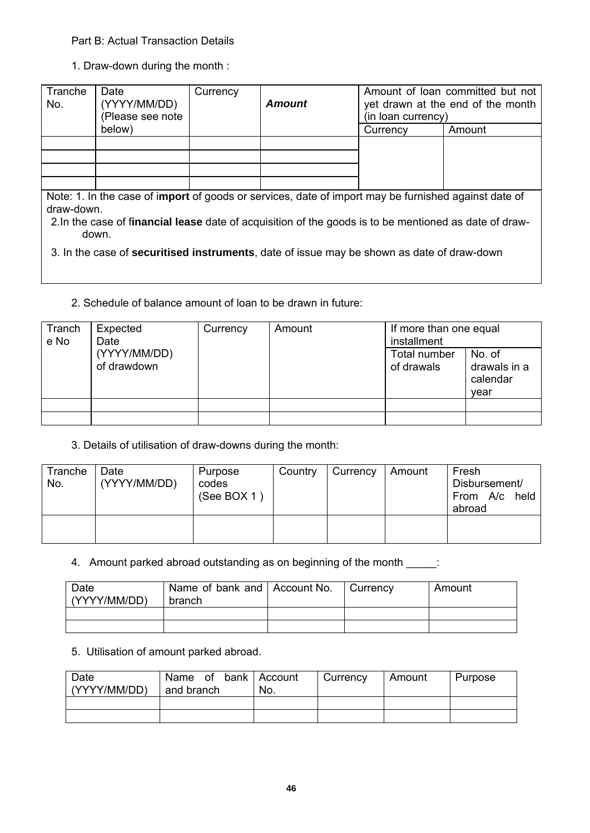## Part B: Actual Transaction Details

1. Draw-down during the month :

| Tranche<br>No. | Date<br>(YYYY/MM/DD)<br>(Please see note | Currency | <b>Amount</b>                                                                                       | (in loan currency) | Amount of loan committed but not<br>yet drawn at the end of the month |
|----------------|------------------------------------------|----------|-----------------------------------------------------------------------------------------------------|--------------------|-----------------------------------------------------------------------|
|                | below)                                   |          |                                                                                                     | Currency           | Amount                                                                |
|                |                                          |          |                                                                                                     |                    |                                                                       |
|                |                                          |          |                                                                                                     |                    |                                                                       |
|                |                                          |          |                                                                                                     |                    |                                                                       |
|                |                                          |          |                                                                                                     |                    |                                                                       |
|                |                                          |          | Note: 1 In the case of import of goods or services, date of import may be furnished against date of |                    |                                                                       |

e: 1. In the case of i**mport** of goods or services, date of import may be furnished against date of draw-down.

| 2. In the case of financial lease date of acquisition of the goods is to be mentioned as date of draw- |  |  |
|--------------------------------------------------------------------------------------------------------|--|--|
| down.                                                                                                  |  |  |

3. In the case of **securitised instruments**, date of issue may be shown as date of draw-down

2. Schedule of balance amount of loan to be drawn in future:

| Tranch<br>e No | Expected<br>Date            | Currency | Amount | If more than one equal<br>installment |                                            |  |  |
|----------------|-----------------------------|----------|--------|---------------------------------------|--------------------------------------------|--|--|
|                | (YYYY/MM/DD)<br>of drawdown |          |        | Total number<br>of drawals            | No. of<br>drawals in a<br>calendar<br>vear |  |  |
|                |                             |          |        |                                       |                                            |  |  |
|                |                             |          |        |                                       |                                            |  |  |

## 3. Details of utilisation of draw-downs during the month:

| Tranche<br>No. | Date<br>(YYYY/MM/DD) | Purpose<br>codes<br>(See BOX 1) | Country | Currency | Amount | Fresh<br>Disbursement/<br>From A/c held<br>abroad |
|----------------|----------------------|---------------------------------|---------|----------|--------|---------------------------------------------------|
|                |                      |                                 |         |          |        |                                                   |

4. Amount parked abroad outstanding as on beginning of the month \_\_\_\_\_:

| Date<br>(YYYY/MM/DD) | Name of bank and   Account No.<br>branch |  | Currency | Amount |  |
|----------------------|------------------------------------------|--|----------|--------|--|
|                      |                                          |  |          |        |  |
|                      |                                          |  |          |        |  |

#### 5. Utilisation of amount parked abroad.

| Date<br>(YYYY/MM/DD) | Name of bank Account<br>and branch | No. | Currency | Amount | Purpose |  |
|----------------------|------------------------------------|-----|----------|--------|---------|--|
|                      |                                    |     |          |        |         |  |
|                      |                                    |     |          |        |         |  |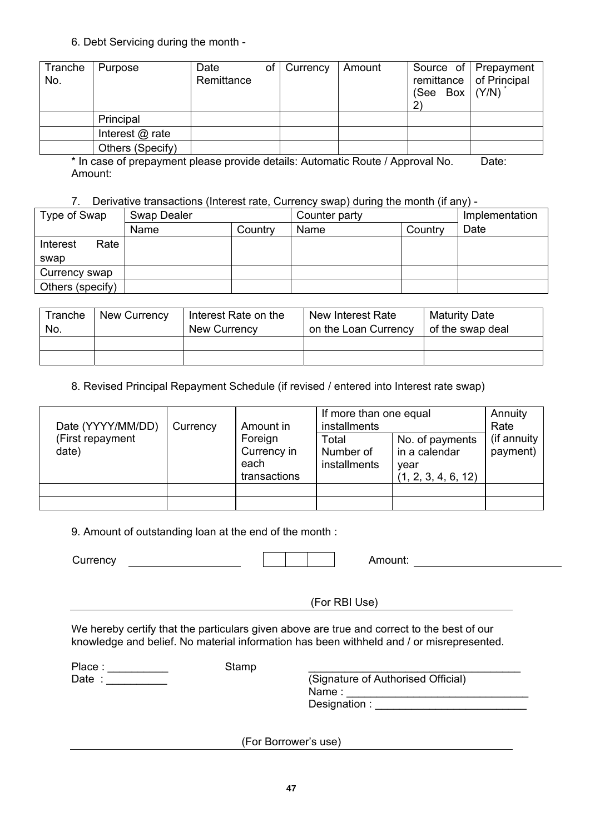6. Debt Servicing during the month -

| Tranche<br>No. | Purpose          | Date<br>Remittance | οf | Currency | Amount | (See Box $ (Y/N) $ | Source of Prepayment<br>remittance   of Principal |
|----------------|------------------|--------------------|----|----------|--------|--------------------|---------------------------------------------------|
|                | Principal        |                    |    |          |        |                    |                                                   |
|                | Interest @ rate  |                    |    |          |        |                    |                                                   |
|                | Others (Specify) |                    |    |          |        |                    |                                                   |

\* In case of prepayment please provide details: Automatic Route / Approval No. Date: Amount:

## 7. Derivative transactions (Interest rate, Currency swap) during the month (if any) -

| Type of Swap     | Swap Dealer |         | Counter party |         | Implementation |
|------------------|-------------|---------|---------------|---------|----------------|
|                  | Name        | Country | Name          | Country | Date           |
| Rate<br>Interest |             |         |               |         |                |
| swap             |             |         |               |         |                |
| Currency swap    |             |         |               |         |                |
| Others (specify) |             |         |               |         |                |

| Tranche<br>No. | New Currency | Interest Rate on the<br>New Currency | New Interest Rate<br>on the Loan Currency | <b>Maturity Date</b><br>of the swap deal |
|----------------|--------------|--------------------------------------|-------------------------------------------|------------------------------------------|
|                |              |                                      |                                           |                                          |
|                |              |                                      |                                           |                                          |

8. Revised Principal Repayment Schedule (if revised / entered into Interest rate swap)

| Date (YYYY/MM/DD)         | Currency | Amount in                                      | If more than one equal<br>installments |                                                                 | Annuity<br>Rate          |
|---------------------------|----------|------------------------------------------------|----------------------------------------|-----------------------------------------------------------------|--------------------------|
| (First repayment<br>date) |          | Foreign<br>Currency in<br>each<br>transactions | Total<br>Number of<br>installments     | No. of payments<br>in a calendar<br>year<br>(1, 2, 3, 4, 6, 12) | (if annuity)<br>payment) |
|                           |          |                                                |                                        |                                                                 |                          |
|                           |          |                                                |                                        |                                                                 |                          |

9. Amount of outstanding loan at the end of the month :

Currency Amount:

(For RBI Use)

We hereby certify that the particulars given above are true and correct to the best of our knowledge and belief. No material information has been withheld and / or misrepresented.

Stamp

Place : \_\_\_\_\_\_\_\_\_\_\_ Date : \_\_\_\_\_\_\_\_\_\_

(Signature of Authorised Official) Name : Designation :

(For Borrower's use)